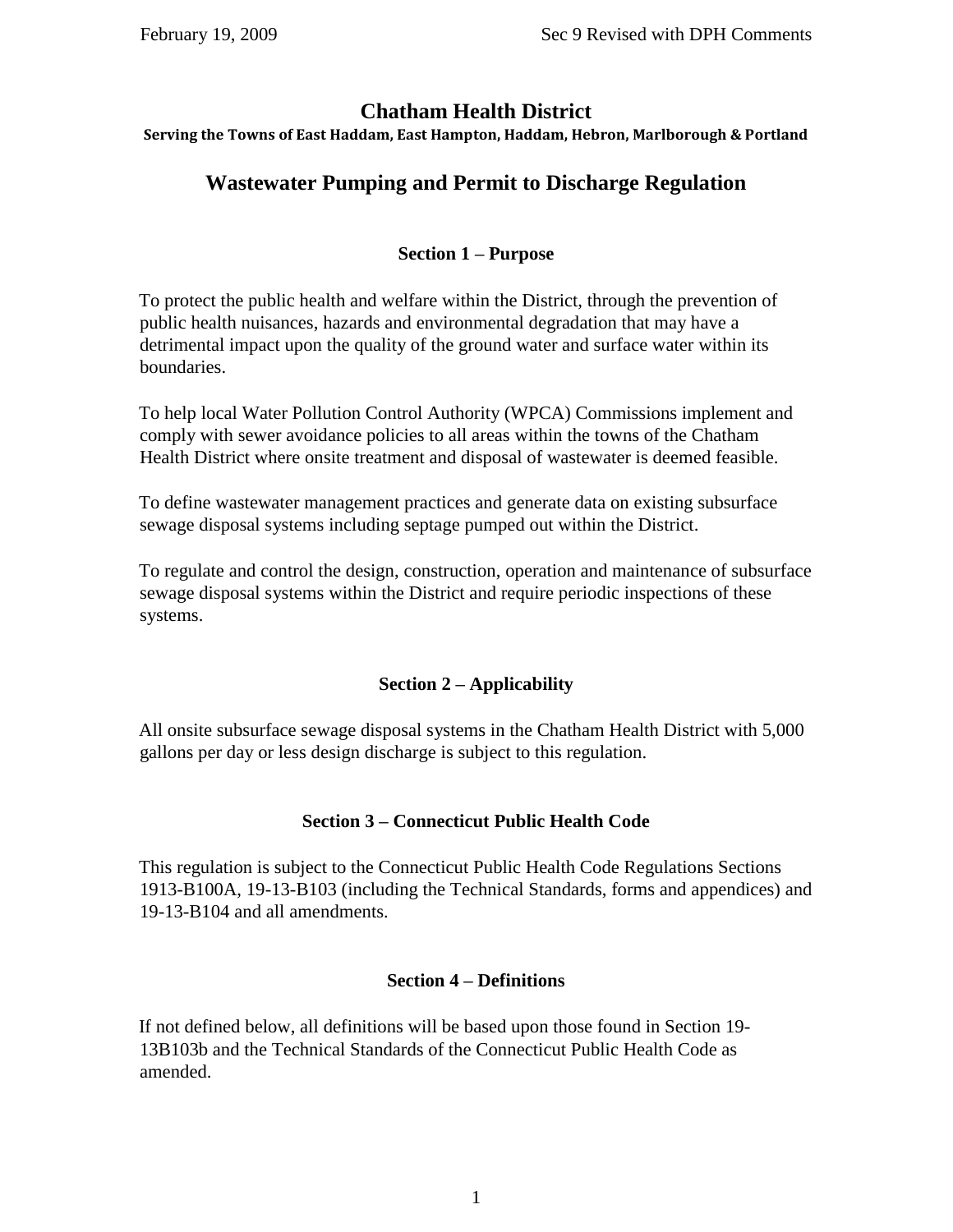## **Chatham Health District**

**Serving the Towns of East Haddam, East Hampton, Haddam, Hebron, Marlborough & Portland**

# **Wastewater Pumping and Permit to Discharge Regulation**

## **Section 1 – Purpose**

To protect the public health and welfare within the District, through the prevention of public health nuisances, hazards and environmental degradation that may have a detrimental impact upon the quality of the ground water and surface water within its boundaries.

To help local Water Pollution Control Authority (WPCA) Commissions implement and comply with sewer avoidance policies to all areas within the towns of the Chatham Health District where onsite treatment and disposal of wastewater is deemed feasible.

To define wastewater management practices and generate data on existing subsurface sewage disposal systems including septage pumped out within the District.

To regulate and control the design, construction, operation and maintenance of subsurface sewage disposal systems within the District and require periodic inspections of these systems.

## **Section 2 – Applicability**

All onsite subsurface sewage disposal systems in the Chatham Health District with 5,000 gallons per day or less design discharge is subject to this regulation.

## **Section 3 – Connecticut Public Health Code**

This regulation is subject to the Connecticut Public Health Code Regulations Sections 1913-B100A, 19-13-B103 (including the Technical Standards, forms and appendices) and 19-13-B104 and all amendments.

## **Section 4 – Definitions**

If not defined below, all definitions will be based upon those found in Section 19- 13B103b and the Technical Standards of the Connecticut Public Health Code as amended.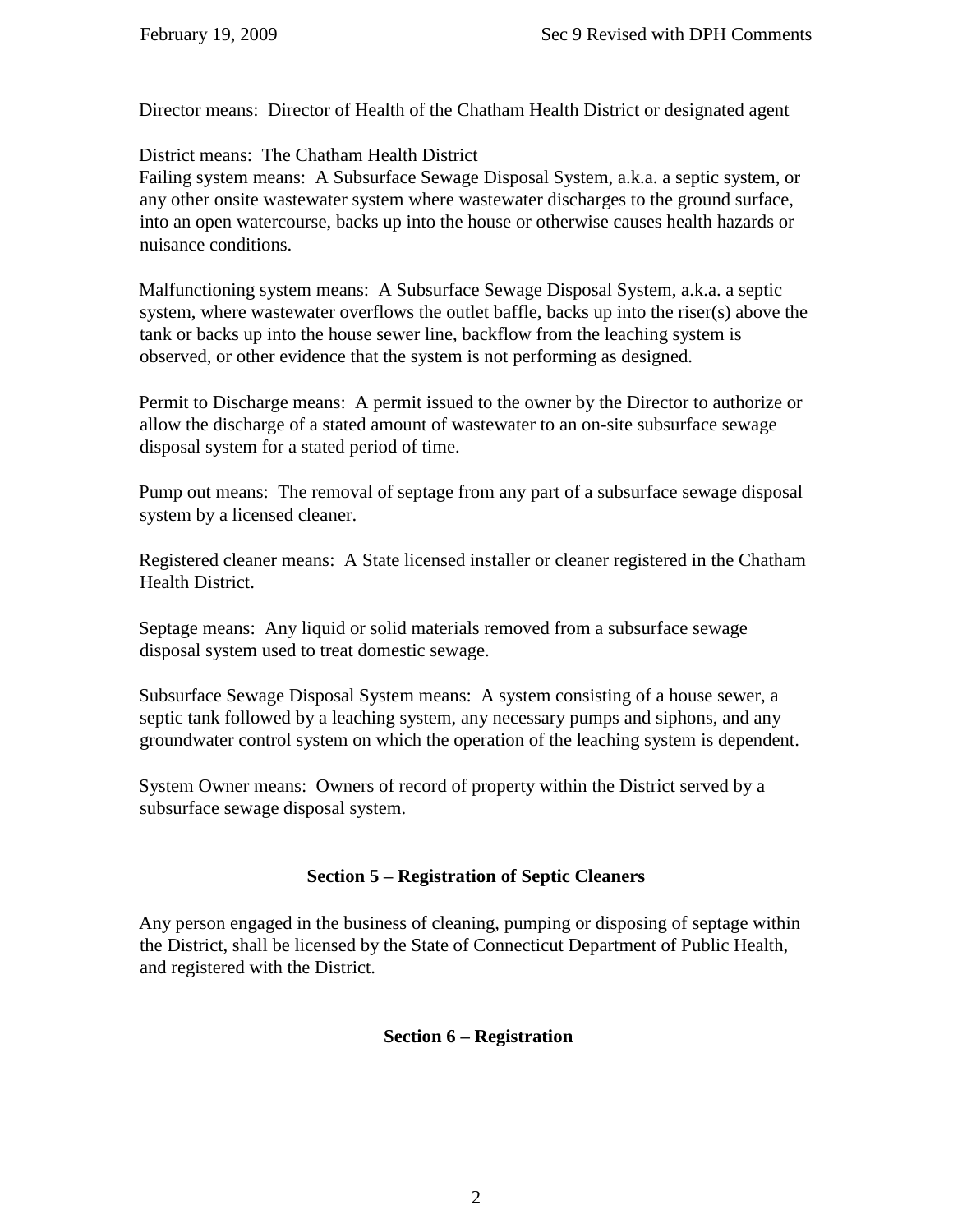Director means: Director of Health of the Chatham Health District or designated agent

District means: The Chatham Health District

Failing system means: A Subsurface Sewage Disposal System, a.k.a. a septic system, or any other onsite wastewater system where wastewater discharges to the ground surface, into an open watercourse, backs up into the house or otherwise causes health hazards or nuisance conditions.

Malfunctioning system means: A Subsurface Sewage Disposal System, a.k.a. a septic system, where wastewater overflows the outlet baffle, backs up into the riser(s) above the tank or backs up into the house sewer line, backflow from the leaching system is observed, or other evidence that the system is not performing as designed.

Permit to Discharge means: A permit issued to the owner by the Director to authorize or allow the discharge of a stated amount of wastewater to an on-site subsurface sewage disposal system for a stated period of time.

Pump out means: The removal of septage from any part of a subsurface sewage disposal system by a licensed cleaner.

Registered cleaner means: A State licensed installer or cleaner registered in the Chatham Health District.

Septage means: Any liquid or solid materials removed from a subsurface sewage disposal system used to treat domestic sewage.

Subsurface Sewage Disposal System means: A system consisting of a house sewer, a septic tank followed by a leaching system, any necessary pumps and siphons, and any groundwater control system on which the operation of the leaching system is dependent.

System Owner means: Owners of record of property within the District served by a subsurface sewage disposal system.

## **Section 5 – Registration of Septic Cleaners**

Any person engaged in the business of cleaning, pumping or disposing of septage within the District, shall be licensed by the State of Connecticut Department of Public Health, and registered with the District.

## **Section 6 – Registration**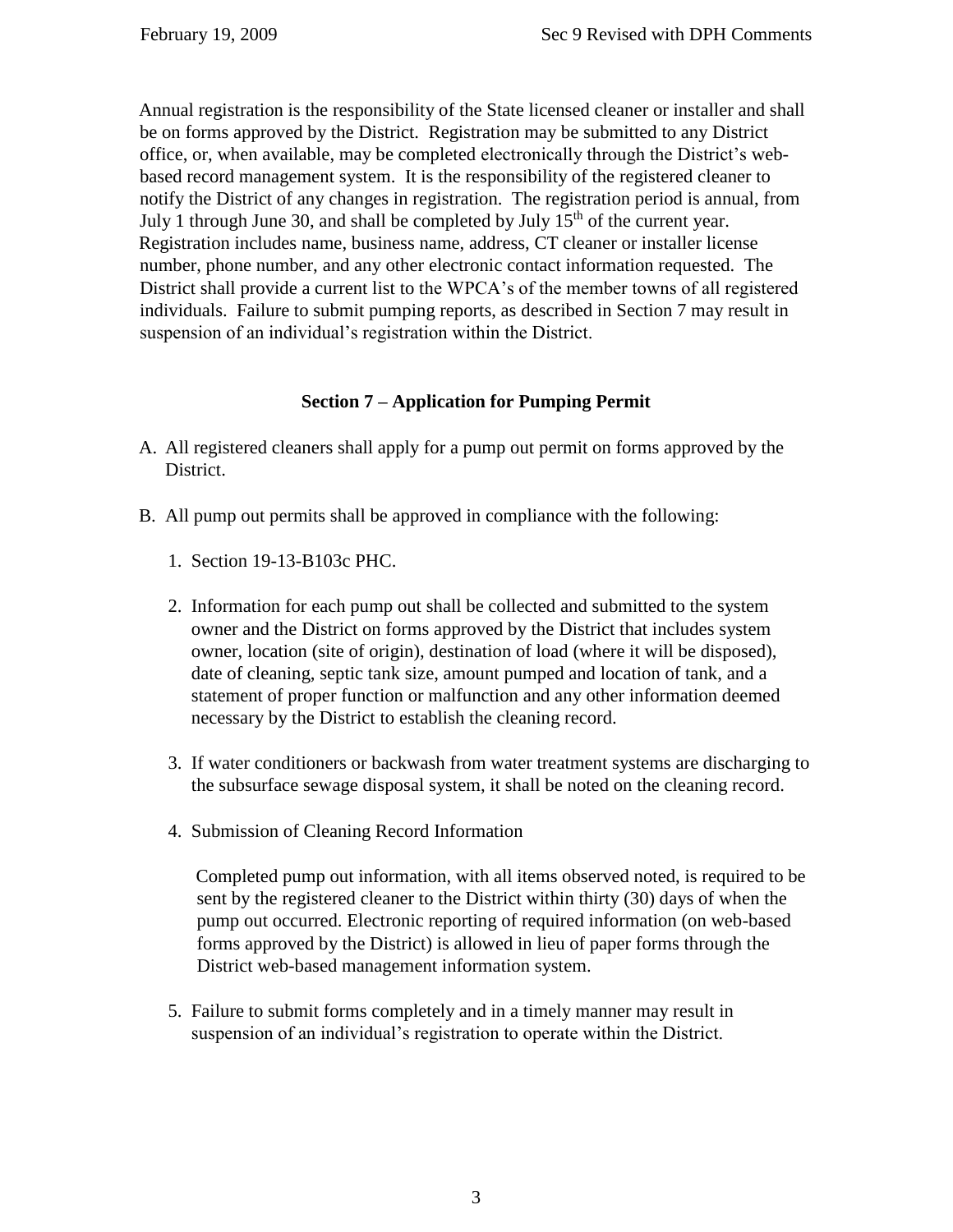Annual registration is the responsibility of the State licensed cleaner or installer and shall be on forms approved by the District. Registration may be submitted to any District office, or, when available, may be completed electronically through the District's webbased record management system. It is the responsibility of the registered cleaner to notify the District of any changes in registration. The registration period is annual, from July 1 through June 30, and shall be completed by July  $15<sup>th</sup>$  of the current year. Registration includes name, business name, address, CT cleaner or installer license number, phone number, and any other electronic contact information requested. The District shall provide a current list to the WPCA's of the member towns of all registered individuals. Failure to submit pumping reports, as described in Section 7 may result in suspension of an individual's registration within the District.

## **Section 7 – Application for Pumping Permit**

- A. All registered cleaners shall apply for a pump out permit on forms approved by the District.
- B. All pump out permits shall be approved in compliance with the following:
	- 1. Section 19-13-B103c PHC.
	- 2. Information for each pump out shall be collected and submitted to the system owner and the District on forms approved by the District that includes system owner, location (site of origin), destination of load (where it will be disposed), date of cleaning, septic tank size, amount pumped and location of tank, and a statement of proper function or malfunction and any other information deemed necessary by the District to establish the cleaning record.
	- 3. If water conditioners or backwash from water treatment systems are discharging to the subsurface sewage disposal system, it shall be noted on the cleaning record.
	- 4. Submission of Cleaning Record Information

Completed pump out information, with all items observed noted, is required to be sent by the registered cleaner to the District within thirty (30) days of when the pump out occurred. Electronic reporting of required information (on web-based forms approved by the District) is allowed in lieu of paper forms through the District web-based management information system.

5. Failure to submit forms completely and in a timely manner may result in suspension of an individual's registration to operate within the District.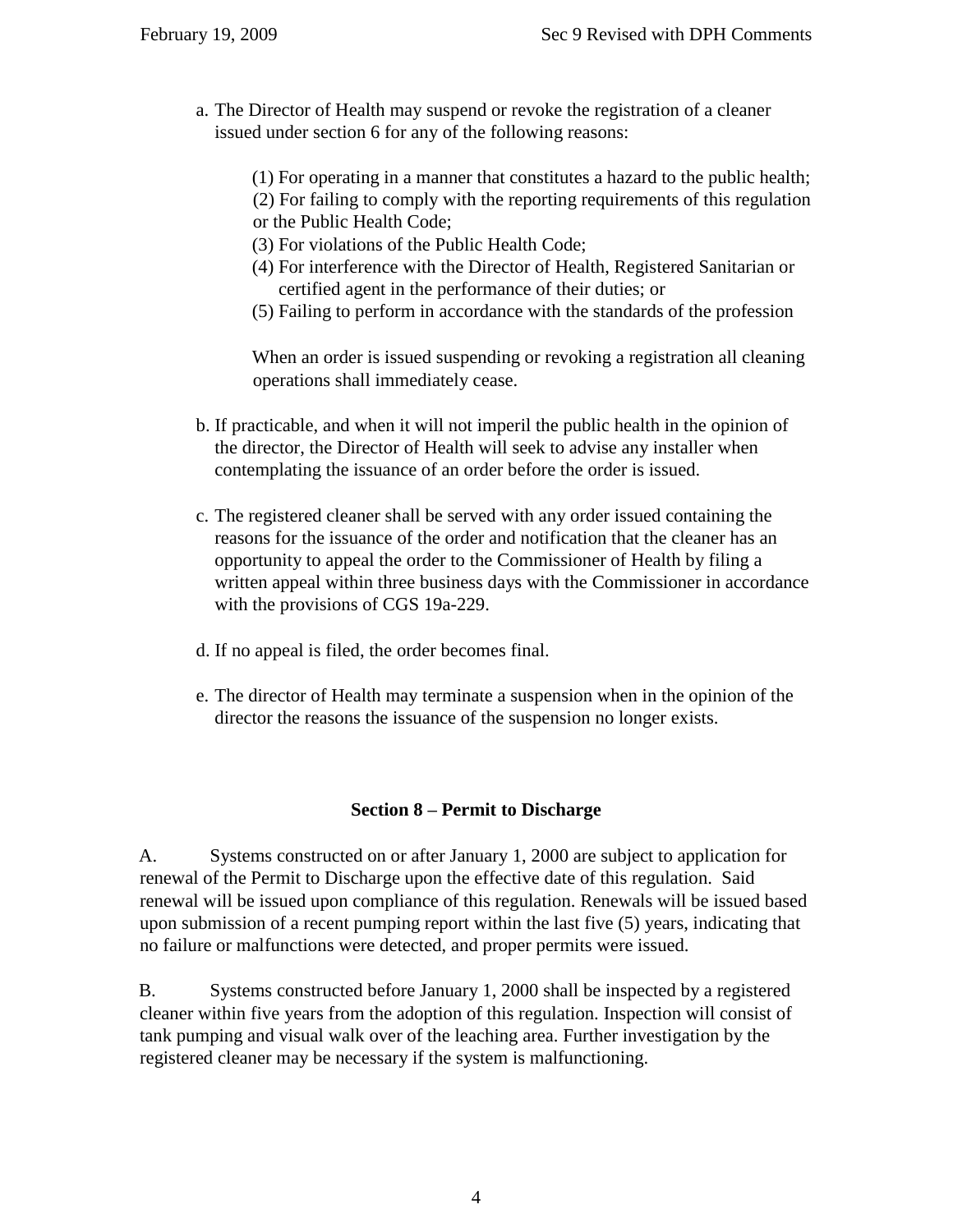- a. The Director of Health may suspend or revoke the registration of a cleaner issued under section 6 for any of the following reasons:
	- (1) For operating in a manner that constitutes a hazard to the public health;
	- (2) For failing to comply with the reporting requirements of this regulation or the Public Health Code;
		- (3) For violations of the Public Health Code;
		- (4) For interference with the Director of Health, Registered Sanitarian or certified agent in the performance of their duties; or
		- (5) Failing to perform in accordance with the standards of the profession

When an order is issued suspending or revoking a registration all cleaning operations shall immediately cease.

- b. If practicable, and when it will not imperil the public health in the opinion of the director, the Director of Health will seek to advise any installer when contemplating the issuance of an order before the order is issued.
- c. The registered cleaner shall be served with any order issued containing the reasons for the issuance of the order and notification that the cleaner has an opportunity to appeal the order to the Commissioner of Health by filing a written appeal within three business days with the Commissioner in accordance with the provisions of CGS 19a-229.
- d. If no appeal is filed, the order becomes final.
- e. The director of Health may terminate a suspension when in the opinion of the director the reasons the issuance of the suspension no longer exists.

## **Section 8 – Permit to Discharge**

A. Systems constructed on or after January 1, 2000 are subject to application for renewal of the Permit to Discharge upon the effective date of this regulation. Said renewal will be issued upon compliance of this regulation. Renewals will be issued based upon submission of a recent pumping report within the last five (5) years, indicating that no failure or malfunctions were detected, and proper permits were issued.

B. Systems constructed before January 1, 2000 shall be inspected by a registered cleaner within five years from the adoption of this regulation. Inspection will consist of tank pumping and visual walk over of the leaching area. Further investigation by the registered cleaner may be necessary if the system is malfunctioning.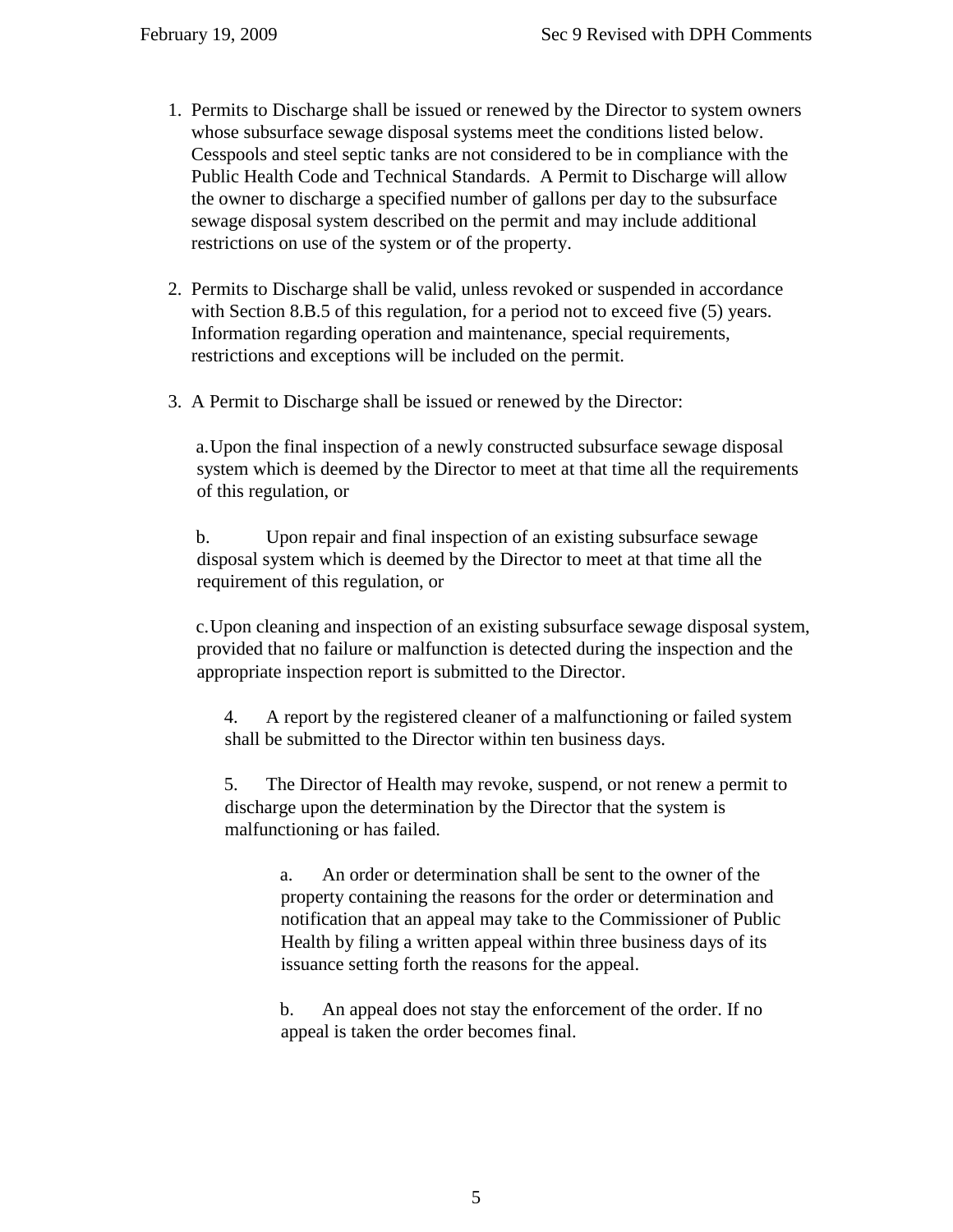- 1. Permits to Discharge shall be issued or renewed by the Director to system owners whose subsurface sewage disposal systems meet the conditions listed below. Cesspools and steel septic tanks are not considered to be in compliance with the Public Health Code and Technical Standards. A Permit to Discharge will allow the owner to discharge a specified number of gallons per day to the subsurface sewage disposal system described on the permit and may include additional restrictions on use of the system or of the property.
- 2. Permits to Discharge shall be valid, unless revoked or suspended in accordance with Section 8.B.5 of this regulation, for a period not to exceed five (5) years. Information regarding operation and maintenance, special requirements, restrictions and exceptions will be included on the permit.
- 3. A Permit to Discharge shall be issued or renewed by the Director:

a.Upon the final inspection of a newly constructed subsurface sewage disposal system which is deemed by the Director to meet at that time all the requirements of this regulation, or

b. Upon repair and final inspection of an existing subsurface sewage disposal system which is deemed by the Director to meet at that time all the requirement of this regulation, or

c.Upon cleaning and inspection of an existing subsurface sewage disposal system, provided that no failure or malfunction is detected during the inspection and the appropriate inspection report is submitted to the Director.

4. A report by the registered cleaner of a malfunctioning or failed system shall be submitted to the Director within ten business days.

5. The Director of Health may revoke, suspend, or not renew a permit to discharge upon the determination by the Director that the system is malfunctioning or has failed.

> a. An order or determination shall be sent to the owner of the property containing the reasons for the order or determination and notification that an appeal may take to the Commissioner of Public Health by filing a written appeal within three business days of its issuance setting forth the reasons for the appeal.

b. An appeal does not stay the enforcement of the order. If no appeal is taken the order becomes final.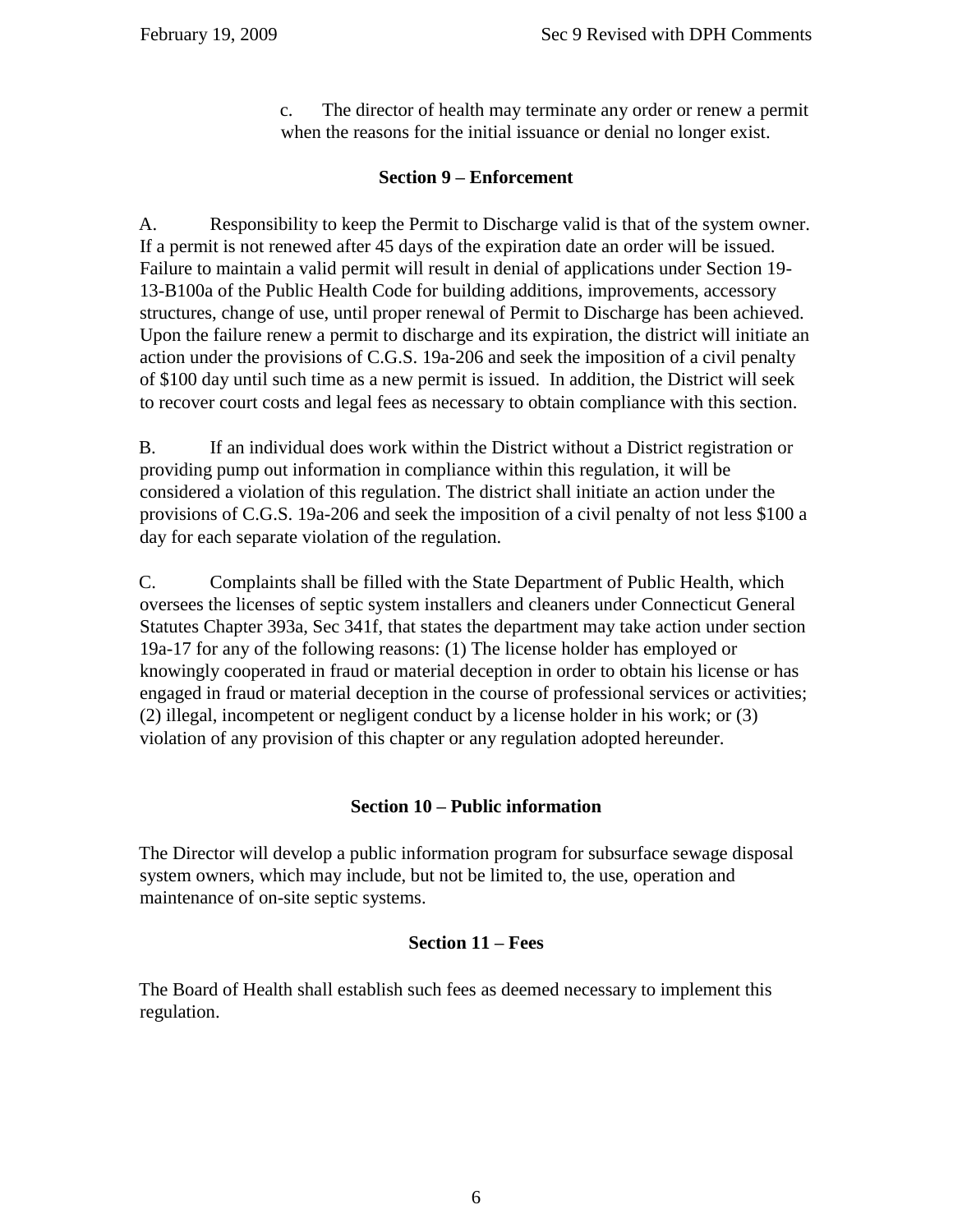c. The director of health may terminate any order or renew a permit when the reasons for the initial issuance or denial no longer exist.

## **Section 9 – Enforcement**

A. Responsibility to keep the Permit to Discharge valid is that of the system owner. If a permit is not renewed after 45 days of the expiration date an order will be issued. Failure to maintain a valid permit will result in denial of applications under Section 19- 13-B100a of the Public Health Code for building additions, improvements, accessory structures, change of use, until proper renewal of Permit to Discharge has been achieved. Upon the failure renew a permit to discharge and its expiration, the district will initiate an action under the provisions of C.G.S. 19a-206 and seek the imposition of a civil penalty of \$100 day until such time as a new permit is issued. In addition, the District will seek to recover court costs and legal fees as necessary to obtain compliance with this section.

B. If an individual does work within the District without a District registration or providing pump out information in compliance within this regulation, it will be considered a violation of this regulation. The district shall initiate an action under the provisions of C.G.S. 19a-206 and seek the imposition of a civil penalty of not less \$100 a day for each separate violation of the regulation.

C. Complaints shall be filled with the State Department of Public Health, which oversees the licenses of septic system installers and cleaners under Connecticut General Statutes Chapter 393a, Sec 341f, that states the department may take action under section 19a-17 for any of the following reasons: (1) The license holder has employed or knowingly cooperated in fraud or material deception in order to obtain his license or has engaged in fraud or material deception in the course of professional services or activities; (2) illegal, incompetent or negligent conduct by a license holder in his work; or (3) violation of any provision of this chapter or any regulation adopted hereunder.

## **Section 10 – Public information**

The Director will develop a public information program for subsurface sewage disposal system owners, which may include, but not be limited to, the use, operation and maintenance of on-site septic systems.

## **Section 11 – Fees**

The Board of Health shall establish such fees as deemed necessary to implement this regulation.